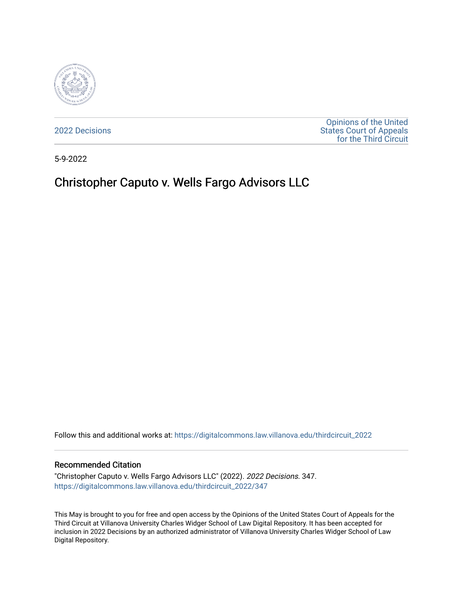

[2022 Decisions](https://digitalcommons.law.villanova.edu/thirdcircuit_2022)

[Opinions of the United](https://digitalcommons.law.villanova.edu/thirdcircuit)  [States Court of Appeals](https://digitalcommons.law.villanova.edu/thirdcircuit)  [for the Third Circuit](https://digitalcommons.law.villanova.edu/thirdcircuit) 

5-9-2022

# Christopher Caputo v. Wells Fargo Advisors LLC

Follow this and additional works at: [https://digitalcommons.law.villanova.edu/thirdcircuit\\_2022](https://digitalcommons.law.villanova.edu/thirdcircuit_2022?utm_source=digitalcommons.law.villanova.edu%2Fthirdcircuit_2022%2F347&utm_medium=PDF&utm_campaign=PDFCoverPages) 

#### Recommended Citation

"Christopher Caputo v. Wells Fargo Advisors LLC" (2022). 2022 Decisions. 347. [https://digitalcommons.law.villanova.edu/thirdcircuit\\_2022/347](https://digitalcommons.law.villanova.edu/thirdcircuit_2022/347?utm_source=digitalcommons.law.villanova.edu%2Fthirdcircuit_2022%2F347&utm_medium=PDF&utm_campaign=PDFCoverPages)

This May is brought to you for free and open access by the Opinions of the United States Court of Appeals for the Third Circuit at Villanova University Charles Widger School of Law Digital Repository. It has been accepted for inclusion in 2022 Decisions by an authorized administrator of Villanova University Charles Widger School of Law Digital Repository.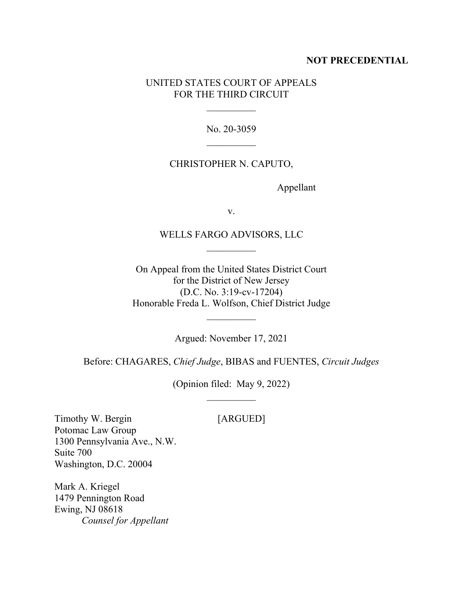#### **NOT PRECEDENTIAL**

### UNITED STATES COURT OF APPEALS FOR THE THIRD CIRCUIT

No. 20-3059

 $\mathcal{L}_\text{max}$ 

#### CHRISTOPHER N. CAPUTO,

Appellant

v.

#### WELLS FARGO ADVISORS, LLC

On Appeal from the United States District Court for the District of New Jersey (D.C. No. 3:19-cv-17204) Honorable Freda L. Wolfson, Chief District Judge

Argued: November 17, 2021

Before: CHAGARES, *Chief Judge*, BIBAS and FUENTES, *Circuit Judges*

(Opinion filed: May 9, 2022)

Timothy W. Bergin [ARGUED] Potomac Law Group 1300 Pennsylvania Ave., N.W. Suite 700 Washington, D.C. 20004

Mark A. Kriegel 1479 Pennington Road Ewing, NJ 08618 *Counsel for Appellant*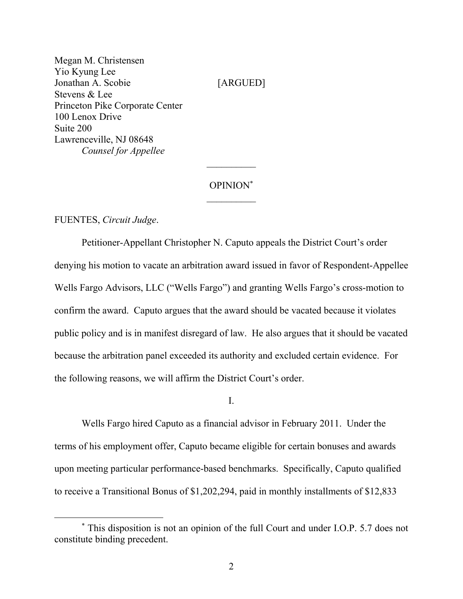Megan M. Christensen Yio Kyung Lee Jonathan A. Scobie [ARGUED] Stevens & Lee Princeton Pike Corporate Center 100 Lenox Drive Suite 200 Lawrenceville, NJ 08648 *Counsel for Appellee*

## OPINION\*  $\frac{1}{2}$

FUENTES, *Circuit Judge*.

Petitioner-Appellant Christopher N. Caputo appeals the District Court's order denying his motion to vacate an arbitration award issued in favor of Respondent-Appellee Wells Fargo Advisors, LLC ("Wells Fargo") and granting Wells Fargo's cross-motion to confirm the award. Caputo argues that the award should be vacated because it violates public policy and is in manifest disregard of law. He also argues that it should be vacated because the arbitration panel exceeded its authority and excluded certain evidence. For the following reasons, we will affirm the District Court's order.

I.

Wells Fargo hired Caputo as a financial advisor in February 2011. Under the terms of his employment offer, Caputo became eligible for certain bonuses and awards upon meeting particular performance-based benchmarks. Specifically, Caputo qualified to receive a Transitional Bonus of \$1,202,294, paid in monthly installments of \$12,833

<sup>\*</sup> This disposition is not an opinion of the full Court and under I.O.P. 5.7 does not constitute binding precedent.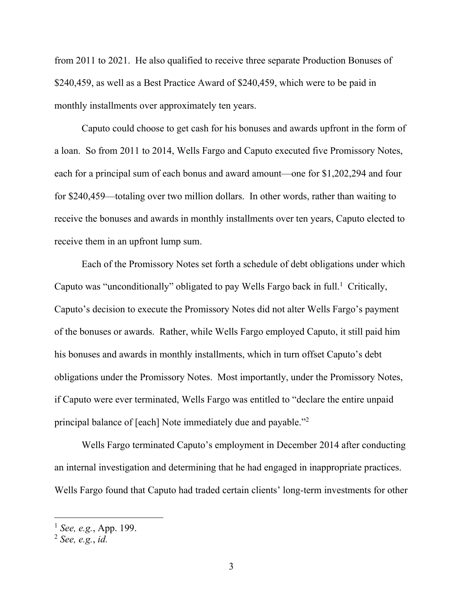from 2011 to 2021. He also qualified to receive three separate Production Bonuses of \$240,459, as well as a Best Practice Award of \$240,459, which were to be paid in monthly installments over approximately ten years.

Caputo could choose to get cash for his bonuses and awards upfront in the form of a loan. So from 2011 to 2014, Wells Fargo and Caputo executed five Promissory Notes, each for a principal sum of each bonus and award amount—one for \$1,202,294 and four for \$240,459—totaling over two million dollars. In other words, rather than waiting to receive the bonuses and awards in monthly installments over ten years, Caputo elected to receive them in an upfront lump sum.

Each of the Promissory Notes set forth a schedule of debt obligations under which Caputo was "unconditionally" obligated to pay Wells Fargo back in full.<sup>1</sup> Critically, Caputo's decision to execute the Promissory Notes did not alter Wells Fargo's payment of the bonuses or awards. Rather, while Wells Fargo employed Caputo, it still paid him his bonuses and awards in monthly installments, which in turn offset Caputo's debt obligations under the Promissory Notes. Most importantly, under the Promissory Notes, if Caputo were ever terminated, Wells Fargo was entitled to "declare the entire unpaid principal balance of [each] Note immediately due and payable."<sup>2</sup>

Wells Fargo terminated Caputo's employment in December 2014 after conducting an internal investigation and determining that he had engaged in inappropriate practices. Wells Fargo found that Caputo had traded certain clients' long-term investments for other

<sup>1</sup> *See, e.g.*, App. 199.

<sup>2</sup> *See, e.g.*, *id.*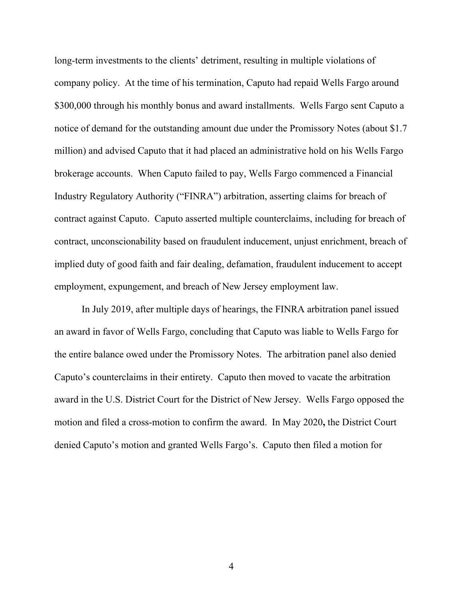long-term investments to the clients' detriment, resulting in multiple violations of company policy. At the time of his termination, Caputo had repaid Wells Fargo around \$300,000 through his monthly bonus and award installments. Wells Fargo sent Caputo a notice of demand for the outstanding amount due under the Promissory Notes (about \$1.7 million) and advised Caputo that it had placed an administrative hold on his Wells Fargo brokerage accounts. When Caputo failed to pay, Wells Fargo commenced a Financial Industry Regulatory Authority ("FINRA") arbitration, asserting claims for breach of contract against Caputo. Caputo asserted multiple counterclaims, including for breach of contract, unconscionability based on fraudulent inducement, unjust enrichment, breach of implied duty of good faith and fair dealing, defamation, fraudulent inducement to accept employment, expungement, and breach of New Jersey employment law.

In July 2019, after multiple days of hearings, the FINRA arbitration panel issued an award in favor of Wells Fargo, concluding that Caputo was liable to Wells Fargo for the entire balance owed under the Promissory Notes. The arbitration panel also denied Caputo's counterclaims in their entirety. Caputo then moved to vacate the arbitration award in the U.S. District Court for the District of New Jersey. Wells Fargo opposed the motion and filed a cross-motion to confirm the award. In May 2020**,** the District Court denied Caputo's motion and granted Wells Fargo's. Caputo then filed a motion for

4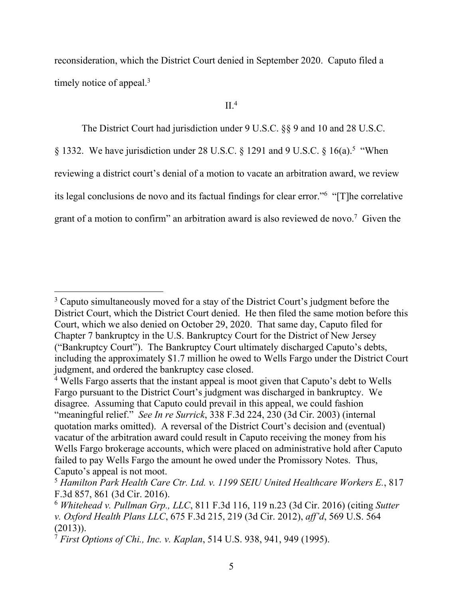reconsideration, which the District Court denied in September 2020. Caputo filed a timely notice of appeal.<sup>3</sup>

# $II.^4$

The District Court had jurisdiction under 9 U.S.C. §§ 9 and 10 and 28 U.S.C.

§ 1332. We have jurisdiction under 28 U.S.C. § 1291 and 9 U.S.C. § 16(a).<sup>5</sup> "When reviewing a district court's denial of a motion to vacate an arbitration award, we review its legal conclusions de novo and its factual findings for clear error."<sup>6</sup> "[T]he correlative grant of a motion to confirm" an arbitration award is also reviewed de novo. 7 Given the

<sup>&</sup>lt;sup>3</sup> Caputo simultaneously moved for a stay of the District Court's judgment before the District Court, which the District Court denied. He then filed the same motion before this Court, which we also denied on October 29, 2020. That same day, Caputo filed for Chapter 7 bankruptcy in the U.S. Bankruptcy Court for the District of New Jersey ("Bankruptcy Court"). The Bankruptcy Court ultimately discharged Caputo's debts, including the approximately \$1.7 million he owed to Wells Fargo under the District Court judgment, and ordered the bankruptcy case closed.

<sup>&</sup>lt;sup>4</sup> Wells Fargo asserts that the instant appeal is moot given that Caputo's debt to Wells Fargo pursuant to the District Court's judgment was discharged in bankruptcy. We disagree. Assuming that Caputo could prevail in this appeal, we could fashion "meaningful relief." *See In re Surrick*, 338 F.3d 224, 230 (3d Cir. 2003) (internal quotation marks omitted). A reversal of the District Court's decision and (eventual) vacatur of the arbitration award could result in Caputo receiving the money from his Wells Fargo brokerage accounts, which were placed on administrative hold after Caputo failed to pay Wells Fargo the amount he owed under the Promissory Notes. Thus, Caputo's appeal is not moot.

<sup>5</sup> *Hamilton Park Health Care Ctr. Ltd. v. 1199 SEIU United Healthcare Workers E.*, 817 F.3d 857, 861 (3d Cir. 2016).

<sup>6</sup> *Whitehead v. Pullman Grp., LLC*, 811 F.3d 116, 119 n.23 (3d Cir. 2016) (citing *Sutter v. Oxford Health Plans LLC*, 675 F.3d 215, 219 (3d Cir. 2012), *aff'd*, 569 U.S. 564 (2013)).

<sup>7</sup> *First Options of Chi., Inc. v. Kaplan*, 514 U.S. 938, 941, 949 (1995).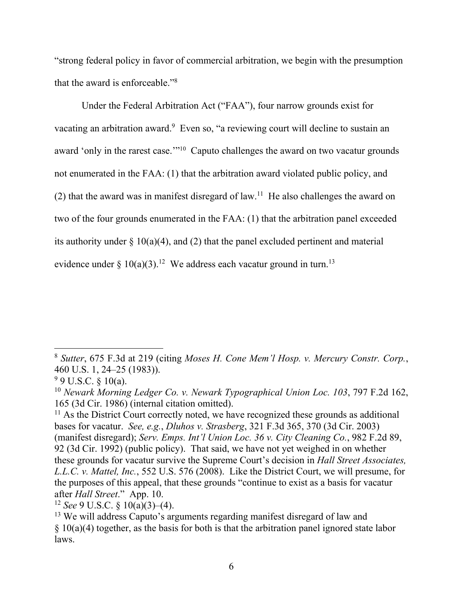"strong federal policy in favor of commercial arbitration, we begin with the presumption that the award is enforceable."<sup>8</sup>

Under the Federal Arbitration Act ("FAA"), four narrow grounds exist for vacating an arbitration award.<sup>9</sup> Even so, "a reviewing court will decline to sustain an award 'only in the rarest case."<sup>10</sup> Caputo challenges the award on two vacatur grounds not enumerated in the FAA: (1) that the arbitration award violated public policy, and (2) that the award was in manifest disregard of  $law<sup>11</sup>$ . He also challenges the award on two of the four grounds enumerated in the FAA: (1) that the arbitration panel exceeded its authority under  $\S 10(a)(4)$ , and (2) that the panel excluded pertinent and material evidence under § 10(a)(3).<sup>12</sup> We address each vacatur ground in turn.<sup>13</sup>

<sup>8</sup> *Sutter*, 675 F.3d at 219 (citing *Moses H. Cone Mem'l Hosp. v. Mercury Constr. Corp.*, 460 U.S. 1, 24–25 (1983)).

 $9 \text{ U.S.C. } \& 10(a)$ .

<sup>10</sup> *Newark Morning Ledger Co. v. Newark Typographical Union Loc. 103*, 797 F.2d 162, 165 (3d Cir. 1986) (internal citation omitted).

 $11$  As the District Court correctly noted, we have recognized these grounds as additional bases for vacatur. *See, e.g.*, *Dluhos v. Strasberg*, 321 F.3d 365, 370 (3d Cir. 2003) (manifest disregard); *Serv. Emps. Int'l Union Loc. 36 v. City Cleaning Co.*, 982 F.2d 89, 92 (3d Cir. 1992) (public policy). That said, we have not yet weighed in on whether these grounds for vacatur survive the Supreme Court's decision in *Hall Street Associates, L.L.C. v. Mattel, Inc.*, 552 U.S. 576 (2008). Like the District Court, we will presume, for the purposes of this appeal, that these grounds "continue to exist as a basis for vacatur after *Hall Street*." App. 10.

<sup>12</sup> *See* 9 U.S.C. § 10(a)(3)–(4).

<sup>&</sup>lt;sup>13</sup> We will address Caputo's arguments regarding manifest disregard of law and  $§ 10(a)(4)$  together, as the basis for both is that the arbitration panel ignored state labor laws.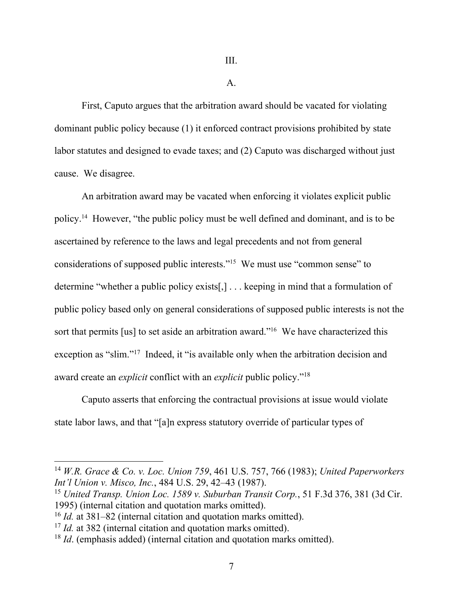III.

A.

First, Caputo argues that the arbitration award should be vacated for violating dominant public policy because (1) it enforced contract provisions prohibited by state labor statutes and designed to evade taxes; and (2) Caputo was discharged without just cause. We disagree.

An arbitration award may be vacated when enforcing it violates explicit public policy.<sup>14</sup> However, "the public policy must be well defined and dominant, and is to be ascertained by reference to the laws and legal precedents and not from general considerations of supposed public interests."<sup>15</sup> We must use "common sense" to determine "whether a public policy exists[,] . . . keeping in mind that a formulation of public policy based only on general considerations of supposed public interests is not the sort that permits [us] to set aside an arbitration award."<sup>16</sup> We have characterized this exception as "slim."<sup>17</sup> Indeed, it "is available only when the arbitration decision and award create an *explicit* conflict with an *explicit* public policy."<sup>18</sup>

Caputo asserts that enforcing the contractual provisions at issue would violate state labor laws, and that "[a]n express statutory override of particular types of

<sup>14</sup> *W.R. Grace & Co. v. Loc. Union 759*, 461 U.S. 757, 766 (1983); *United Paperworkers Int'l Union v. Misco, Inc.*, 484 U.S. 29, 42–43 (1987).

<sup>15</sup> *United Transp. Union Loc. 1589 v. Suburban Transit Corp.*, 51 F.3d 376, 381 (3d Cir. 1995) (internal citation and quotation marks omitted).

<sup>16</sup> *Id.* at 381–82 (internal citation and quotation marks omitted).

<sup>&</sup>lt;sup>17</sup> *Id.* at 382 (internal citation and quotation marks omitted).

<sup>&</sup>lt;sup>18</sup> *Id.* (emphasis added) (internal citation and quotation marks omitted).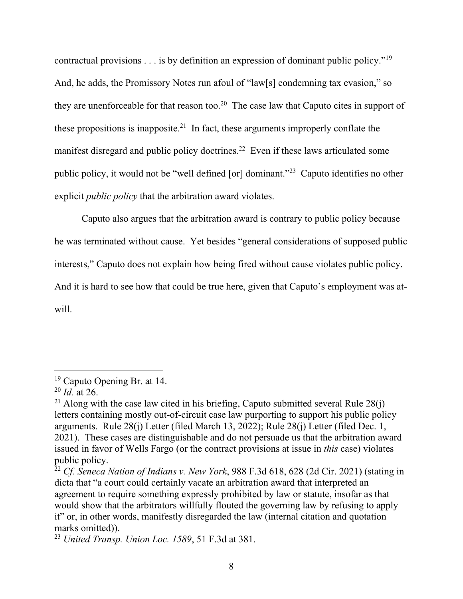contractual provisions  $\dots$  is by definition an expression of dominant public policy."<sup>19</sup> And, he adds, the Promissory Notes run afoul of "law[s] condemning tax evasion," so they are unenforceable for that reason too.<sup>20</sup> The case law that Caputo cites in support of these propositions is inapposite.<sup>21</sup> In fact, these arguments improperly conflate the manifest disregard and public policy doctrines.<sup>22</sup> Even if these laws articulated some public policy, it would not be "well defined [or] dominant."<sup>23</sup> Caputo identifies no other explicit *public policy* that the arbitration award violates.

Caputo also argues that the arbitration award is contrary to public policy because he was terminated without cause. Yet besides "general considerations of supposed public interests," Caputo does not explain how being fired without cause violates public policy. And it is hard to see how that could be true here, given that Caputo's employment was atwill.

<sup>19</sup> Caputo Opening Br. at 14.

<sup>20</sup> *Id.* at 26.

<sup>&</sup>lt;sup>21</sup> Along with the case law cited in his briefing, Caputo submitted several Rule  $28(j)$ letters containing mostly out-of-circuit case law purporting to support his public policy arguments. Rule 28(j) Letter (filed March 13, 2022); Rule 28(j) Letter (filed Dec. 1, 2021). These cases are distinguishable and do not persuade us that the arbitration award issued in favor of Wells Fargo (or the contract provisions at issue in *this* case) violates public policy.

<sup>22</sup> *Cf. Seneca Nation of Indians v. New York*, 988 F.3d 618, 628 (2d Cir. 2021) (stating in dicta that "a court could certainly vacate an arbitration award that interpreted an agreement to require something expressly prohibited by law or statute, insofar as that would show that the arbitrators willfully flouted the governing law by refusing to apply it" or, in other words, manifestly disregarded the law (internal citation and quotation marks omitted)).

<sup>23</sup> *United Transp. Union Loc. 1589*, 51 F.3d at 381.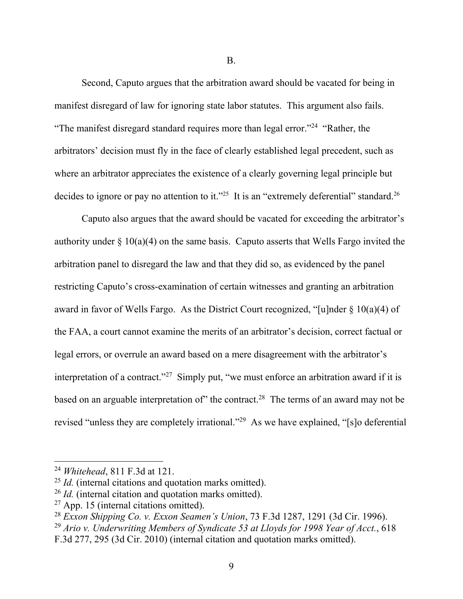B.

Second, Caputo argues that the arbitration award should be vacated for being in manifest disregard of law for ignoring state labor statutes. This argument also fails. "The manifest disregard standard requires more than legal error."<sup>24</sup> "Rather, the arbitrators' decision must fly in the face of clearly established legal precedent, such as where an arbitrator appreciates the existence of a clearly governing legal principle but decides to ignore or pay no attention to it."<sup>25</sup> It is an "extremely deferential" standard.<sup>26</sup>

Caputo also argues that the award should be vacated for exceeding the arbitrator's authority under  $\S 10(a)(4)$  on the same basis. Caputo asserts that Wells Fargo invited the arbitration panel to disregard the law and that they did so, as evidenced by the panel restricting Caputo's cross-examination of certain witnesses and granting an arbitration award in favor of Wells Fargo. As the District Court recognized, "[u]nder § 10(a)(4) of the FAA, a court cannot examine the merits of an arbitrator's decision, correct factual or legal errors, or overrule an award based on a mere disagreement with the arbitrator's interpretation of a contract."<sup>27</sup> Simply put, "we must enforce an arbitration award if it is based on an arguable interpretation of" the contract.<sup>28</sup> The terms of an award may not be revised "unless they are completely irrational."<sup>29</sup> As we have explained, "[s]o deferential

<sup>24</sup> *Whitehead*, 811 F.3d at 121.

<sup>25</sup> *Id.* (internal citations and quotation marks omitted).

<sup>26</sup> *Id.* (internal citation and quotation marks omitted).

 $27$  App. 15 (internal citations omitted).

<sup>28</sup> *Exxon Shipping Co. v. Exxon Seamen's Union*, 73 F.3d 1287, 1291 (3d Cir. 1996).

<sup>29</sup> *Ario v. Underwriting Members of Syndicate 53 at Lloyds for 1998 Year of Acct.*, 618

F.3d 277, 295 (3d Cir. 2010) (internal citation and quotation marks omitted).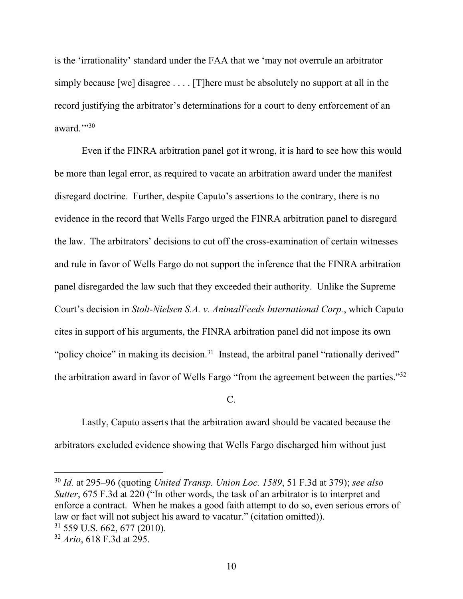is the 'irrationality' standard under the FAA that we 'may not overrule an arbitrator simply because [we] disagree . . . . [T]here must be absolutely no support at all in the record justifying the arbitrator's determinations for a court to deny enforcement of an award."30

Even if the FINRA arbitration panel got it wrong, it is hard to see how this would be more than legal error, as required to vacate an arbitration award under the manifest disregard doctrine. Further, despite Caputo's assertions to the contrary, there is no evidence in the record that Wells Fargo urged the FINRA arbitration panel to disregard the law. The arbitrators' decisions to cut off the cross-examination of certain witnesses and rule in favor of Wells Fargo do not support the inference that the FINRA arbitration panel disregarded the law such that they exceeded their authority. Unlike the Supreme Court's decision in *Stolt-Nielsen S.A. v. AnimalFeeds International Corp.*, which Caputo cites in support of his arguments, the FINRA arbitration panel did not impose its own "policy choice" in making its decision.<sup>31</sup> Instead, the arbitral panel "rationally derived" the arbitration award in favor of Wells Fargo "from the agreement between the parties."<sup>32</sup>

C.

Lastly, Caputo asserts that the arbitration award should be vacated because the arbitrators excluded evidence showing that Wells Fargo discharged him without just

<sup>30</sup> *Id.* at 295–96 (quoting *United Transp. Union Loc. 1589*, 51 F.3d at 379); *see also Sutter*, 675 F.3d at 220 ("In other words, the task of an arbitrator is to interpret and enforce a contract. When he makes a good faith attempt to do so, even serious errors of law or fact will not subject his award to vacatur." (citation omitted)).

<sup>31</sup> 559 U.S. 662, 677 (2010).

<sup>32</sup> *Ario*, 618 F.3d at 295.